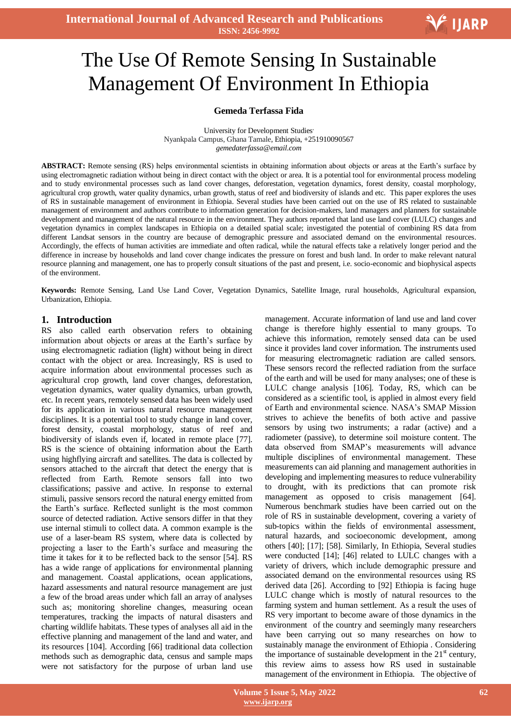# The Use Of Remote Sensing In Sustainable Management Of Environment In Ethiopia

#### **Gemeda Terfassa Fida**

University for Development Studies, Nyankpala Campus, Ghana Tamale, Ethiopia, +251910090567 *gemedaterfassa@email.com*

**ABSTRACT:** Remote sensing (RS) helps environmental scientists in obtaining information about objects or areas at the Earth's surface by using electromagnetic radiation without being in direct contact with the object or area. It is a potential tool for environmental process modeling and to study environmental processes such as land cover changes, deforestation, vegetation dynamics, forest density, coastal morphology, agricultural crop growth, water quality dynamics, urban growth, status of reef and biodiversity of islands and etc. This paper explores the uses of RS in sustainable management of environment in Ethiopia. Several studies have been carried out on the use of RS related to sustainable management of environment and authors contribute to information generation for decision-makers, land managers and planners for sustainable development and management of the natural resource in the environment. They authors reported that land use land cover (LULC) changes and vegetation dynamics in complex landscapes in Ethiopia on a detailed spatial scale; investigated the potential of combining RS data from different Landsat sensors in the country are because of demographic pressure and associated demand on the environmental resources. Accordingly, the effects of human activities are immediate and often radical, while the natural effects take a relatively longer period and the difference in increase by households and land cover change indicates the pressure on forest and bush land. In order to make relevant natural resource planning and management, one has to properly consult situations of the past and present, i.e. socio-economic and biophysical aspects of the environment.

**Keywords:** Remote Sensing, Land Use Land Cover, Vegetation Dynamics, Satellite Image, rural households, Agricultural expansion, Urbanization, Ethiopia.

#### **1. Introduction**

RS also called earth observation refers to obtaining information about objects or areas at the Earth"s surface by using electromagnetic radiation (light) without being in direct contact with the object or area. Increasingly, RS is used to acquire information about environmental processes such as agricultural crop growth, land cover changes, deforestation, vegetation dynamics, water quality dynamics, urban growth, etc. In recent years, remotely sensed data has been widely used for its application in various natural resource management disciplines. It is a potential tool to study change in land cover, forest density, coastal morphology, status of reef and biodiversity of islands even if, located in remote place [77]. RS is the science of obtaining information about the Earth using highflying aircraft and satellites. The data is collected by sensors attached to the aircraft that detect the energy that is reflected from Earth. Remote sensors fall into two classifications; passive and active. In response to external stimuli, passive sensors record the natural energy emitted from the Earth"s surface. Reflected sunlight is the most common source of detected radiation. Active sensors differ in that they use internal stimuli to collect data. A common example is the use of a laser-beam RS system, where data is collected by projecting a laser to the Earth"s surface and measuring the time it takes for it to be reflected back to the sensor [54]. RS has a wide range of applications for environmental planning and management. Coastal applications, ocean applications, hazard assessments and natural resource management are just a few of the broad areas under which fall an array of analyses such as; monitoring shoreline changes, measuring ocean temperatures, tracking the impacts of natural disasters and charting wildlife habitats. These types of analyses all aid in the effective planning and management of the land and water, and its resources [104]. According [66] traditional data collection methods such as demographic data, census and sample maps were not satisfactory for the purpose of urban land use

management. Accurate information of land use and land cover change is therefore highly essential to many groups. To achieve this information, remotely sensed data can be used since it provides land cover information. The instruments used for measuring electromagnetic radiation are called sensors. These sensors record the reflected radiation from the surface of the earth and will be used for many analyses; one of these is LULC change analysis [106]. Today, RS, which can be considered as a scientific tool, is applied in almost every field of Earth and environmental science. NASA"s SMAP Mission strives to achieve the benefits of both active and passive sensors by using two instruments; a radar (active) and a radiometer (passive), to determine soil moisture content. The data observed from SMAP"s measurements will advance multiple disciplines of environmental management. These measurements can aid planning and management authorities in developing and implementing measures to reduce vulnerability to drought, with its predictions that can promote risk management as opposed to crisis management [64]. Numerous benchmark studies have been carried out on the role of RS in sustainable development, covering a variety of sub-topics within the fields of environmental assessment, natural hazards, and socioeconomic development, among others [40]; [17]; [58]. Similarly, In Ethiopia, Several studies were conducted [14]; [46] related to LULC changes with a variety of drivers, which include demographic pressure and associated demand on the environmental resources using RS derived data [26]. According to [92] Ethiopia is facing huge LULC change which is mostly of natural resources to the farming system and human settlement. As a result the uses of RS very important to become aware of those dynamics in the environment of the country and seemingly many researchers have been carrying out so many researches on how to sustainably manage the environment of Ethiopia . Considering the importance of sustainable development in the  $21<sup>st</sup>$  century, this review aims to assess how RS used in sustainable management of the environment in Ethiopia. The objective of

V IJARP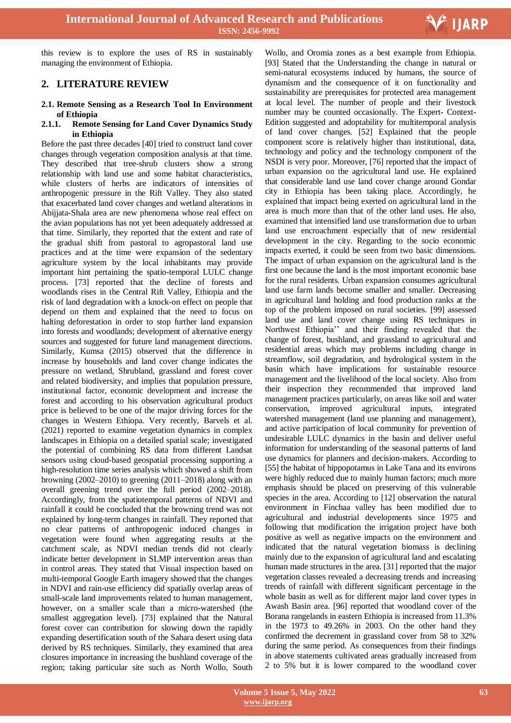

this review is to explore the uses of RS in sustainably managing the environment of Ethiopia.

### **2. LITERATURE REVIEW**

#### **2.1. Remote Sensing as a Research Tool In Environment of Ethiopia**

#### **2.1.1. Remote Sensing for Land Cover Dynamics Study in Ethiopia**

Before the past three decades [40] tried to construct land cover changes through vegetation composition analysis at that time. They described that tree-shrub clusters show a strong relationship with land use and some habitat characteristics, while clusters of herbs are indicators of intensities of anthropogenic pressure in the Rift Valley. They also stated that exacerbated land cover changes and wetland alterations in Abijjata-Shala area are new phenomena whose real effect on the avian populations has not yet been adequately addressed at that time. Similarly, they reported that the extent and rate of the gradual shift from pastoral to agropastoral land use practices and at the time were expansion of the sedentary agriculture system by the local inhabitants may provide important hint pertaining the spatio-temporal LULC change process. [73] reported that the decline of forests and woodlands rises in the Central Rift Valley, Ethiopia and the risk of land degradation with a knock-on effect on people that depend on them and explained that the need to focus on halting deforestation in order to stop further land expansion into forests and woodlands; development of alternative energy sources and suggested for future land management directions. Similarly, Kumsa (2015) observed that the difference in increase by households and land cover change indicates the pressure on wetland, Shrubland, grassland and forest cover and related biodiversity, and implies that population pressure, institutional factor, economic development and increase the forest and according to his observation agricultural product price is believed to be one of the major driving forces for the changes in Western Ethiopa. Very recently, Barvels et al. (2021) reported to examine vegetation dynamics in complex landscapes in Ethiopia on a detailed spatial scale; investigated the potential of combining RS data from different Landsat sensors using cloud-based geospatial processing supporting a high-resolution time series analysis which showed a shift from browning (2002–2010) to greening (2011–2018) along with an overall greening trend over the full period (2002–2018). Accordingly, from the spatiotemporal patterns of NDVI and rainfall it could be concluded that the browning trend was not explained by long-term changes in rainfall. They reported that no clear patterns of anthropogenic induced changes in vegetation were found when aggregating results at the catchment scale, as NDVI median trends did not clearly indicate better development in SLMP intervention areas than in control areas. They stated that Visual inspection based on multi-temporal Google Earth imagery showed that the changes in NDVI and rain-use efficiency did spatially overlap areas of small-scale land improvements related to human management, however, on a smaller scale than a micro-watershed (the smallest aggregation level). [73] explained that the Natural forest cover can contribution for slowing down the rapidly expanding desertification south of the Sahara desert using data derived by RS techniques. Similarly, they examined that area closures importance in increasing the bushland coverage of the region; taking particular site such as North Wollo, South

Wollo, and Oromia zones as a best example from Ethiopia. [93] Stated that the Understanding the change in natural or semi-natural ecosystems induced by humans, the source of dynamism and the consequence of it on functionality and sustainability are prerequisites for protected area management at local level. The number of people and their livestock number may be counted occasionally. The Expert- Context-Edition suggested and adoptability for multitemporal analysis of land cover changes. [52] Explained that the people component score is relatively higher than institutional, data, technology and policy and the technology component of the NSDI is very poor. Moreover, [76] reported that the impact of urban expansion on the agricultural land use. He explained that considerable land use land cover change around Gondar city in Ethiopia has been taking place. Accordingly, he explained that impact being exerted on agricultural land in the area is much more than that of the other land uses. He also, examined that intensified land use transformation due to urban land use encroachment especially that of new residential development in the city. Regarding to the socio economic impacts exerted, it could be seen from two basic dimensions. The impact of urban expansion on the agricultural land is the first one because the land is the most important economic base for the rural residents. Urban expansion consumes agricultural land use farm lands become smaller and smaller. Decreasing in agricultural land holding and food production ranks at the top of the problem imposed on rural societies. [99] assessed land use and land cover change using RS techniques in Northwest Ethiopia"" and their finding revealed that the change of forest, bushland, and grassland to agricultural and residential areas which may problems including change in streamflow, soil degradation, and hydrological system in the basin which have implications for sustainable resource management and the livelihood of the local society. Also from their inspection they recommended that improved land management practices particularly, on areas like soil and water conservation, improved agricultural inputs, integrated watershed management (land use planning and management), and active participation of local community for prevention of undesirable LULC dynamics in the basin and deliver useful information for understanding of the seasonal patterns of land use dynamics for planners and decision-makers. According to [55] the habitat of hippopotamus in Lake Tana and its environs were highly reduced due to mainly human factors; much more emphasis should be placed on preserving of this vulnerable species in the area. According to [12] observation the natural environment in Finchaa valley has been modified due to agricultural and industrial developments since 1975 and following that modification the irrigation project have both positive as well as negative impacts on the environment and indicated that the natural vegetation biomass is declining mainly due to the expansion of agricultural land and escalating human made structures in the area. [31] reported that the major vegetation classes revealed a decreasing trends and increasing trends of rainfall with different significant percentage in the whole basin as well as for different major land cover types in Awash Basin area. [96] reported that woodland cover of the Borana rangelands in eastern Ethiopia is increased from 11.3% in the 1973 to 49.26% in 2003. On the other hand they confirmed the decrement in grassland cover from 58 to 32% during the same period. As consequences from their findings in above statements cultivated areas gradually increased from 2 to 5% but it is lower compared to the woodland cover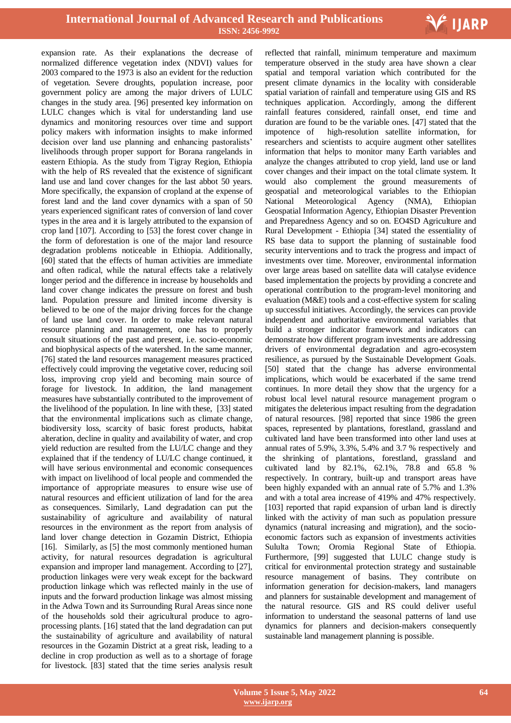

expansion rate. As their explanations the decrease of normalized difference vegetation index (NDVI) values for 2003 compared to the 1973 is also an evident for the reduction of vegetation. Severe droughts, population increase, poor government policy are among the major drivers of LULC changes in the study area. [96] presented key information on LULC changes which is vital for understanding land use dynamics and monitoring resources over time and support policy makers with information insights to make informed decision over land use planning and enhancing pastoralists' livelihoods through proper support for Borana rangelands in eastern Ethiopia. As the study from Tigray Region, Ethiopia with the help of RS revealed that the existence of significant land use and land cover changes for the last abbot 50 years. More specifically, the expansion of cropland at the expense of forest land and the land cover dynamics with a span of 50 years experienced significant rates of conversion of land cover types in the area and it is largely attributed to the expansion of crop land [107]. According to [53] the forest cover change in the form of deforestation is one of the major land resource degradation problems noticeable in Ethiopia. Additionally, [60] stated that the effects of human activities are immediate and often radical, while the natural effects take a relatively longer period and the difference in increase by households and land cover change indicates the pressure on forest and bush land. Population pressure and limited income diversity is believed to be one of the major driving forces for the change of land use land cover. In order to make relevant natural resource planning and management, one has to properly consult situations of the past and present, i.e. socio-economic and biophysical aspects of the watershed. In the same manner, [76] stated the land resources management measures practiced effectively could improving the vegetative cover, reducing soil loss, improving crop yield and becoming main source of forage for livestock. In addition, the land management measures have substantially contributed to the improvement of the livelihood of the population. In line with these, [33] stated that the environmental implications such as climate change, biodiversity loss, scarcity of basic forest products, habitat alteration, decline in quality and availability of water, and crop yield reduction are resulted from the LU/LC change and they explained that if the tendency of LU/LC change continued, it will have serious environmental and economic consequences with impact on livelihood of local people and commended the importance of appropriate measures to ensure wise use of natural resources and efficient utilization of land for the area as consequences. Similarly, Land degradation can put the sustainability of agriculture and availability of natural resources in the environment as the report from analysis of land lover change detection in Gozamin District, Ethiopia [16]. Similarly, as [5] the most commonly mentioned human activity, for natural resources degradation is agricultural expansion and improper land management. According to [27], production linkages were very weak except for the backward production linkage which was reflected mainly in the use of inputs and the forward production linkage was almost missing in the Adwa Town and its Surrounding Rural Areas since none of the households sold their agricultural produce to agroprocessing plants. [16] stated that the land degradation can put the sustainability of agriculture and availability of natural resources in the Gozamin District at a great risk, leading to a decline in crop production as well as to a shortage of forage for livestock. [83] stated that the time series analysis result

 reflected that rainfall, minimum temperature and maximum temperature observed in the study area have shown a clear spatial and temporal variation which contributed for the present climate dynamics in the locality with considerable spatial variation of rainfall and temperature using GIS and RS techniques application. Accordingly, among the different rainfall features considered, rainfall onset, end time and duration are found to be the variable ones. [47] stated that the impotence of high-resolution satellite information, for researchers and scientists to acquire augment other satellites information that helps to monitor many Earth variables and analyze the changes attributed to crop yield, land use or land cover changes and their impact on the total climate system. It would also complement the ground measurements of geospatial and meteorological variables to the Ethiopian National Meteorological Agency (NMA), Ethiopian Geospatial Information Agency, Ethiopian Disaster Prevention and Preparedness Agency and so on. EO4SD Agriculture and Rural Development - Ethiopia [34] stated the essentiality of RS base data to support the planning of sustainable food security interventions and to track the progress and impact of investments over time. Moreover, environmental information over large areas based on satellite data will catalyse evidence based implementation the projects by providing a concrete and operational contribution to the program-level monitoring and evaluation (M&E) tools and a cost-effective system for scaling up successful initiatives. Accordingly, the services can provide independent and authoritative environmental variables that build a stronger indicator framework and indicators can demonstrate how different program investments are addressing drivers of environmental degradation and agro-ecosystem resilience, as pursued by the Sustainable Development Goals. [50] stated that the change has adverse environmental implications, which would be exacerbated if the same trend continues. In more detail they show that the urgency for a robust local level natural resource management program o mitigates the deleterious impact resulting from the degradation of natural resources. [98] reported that since 1986 the green spaces, represented by plantations, forestland, grassland and cultivated land have been transformed into other land uses at annual rates of 5.9%, 3.3%, 5.4% and 3.7 % respectively and the shrinking of plantations, forestland, grassland and cultivated land by 82.1%, 62.1%, 78.8 and 65.8 % respectively. In contrary, built-up and transport areas have been highly expanded with an annual rate of 5.7% and 1.3% and with a total area increase of 419% and 47% respectively. [103] reported that rapid expansion of urban land is directly linked with the activity of man such as population pressure dynamics (natural increasing and migration), and the socioeconomic factors such as expansion of investments activities Sululta Town; Oromia Regional State of Ethiopia. Furthermore, [99] suggested that LULC change study is critical for environmental protection strategy and sustainable resource management of basins. They contribute on information generation for decision-makers, land managers and planners for sustainable development and management of the natural resource. GIS and RS could deliver useful information to understand the seasonal patterns of land use dynamics for planners and decision-makers consequently sustainable land management planning is possible.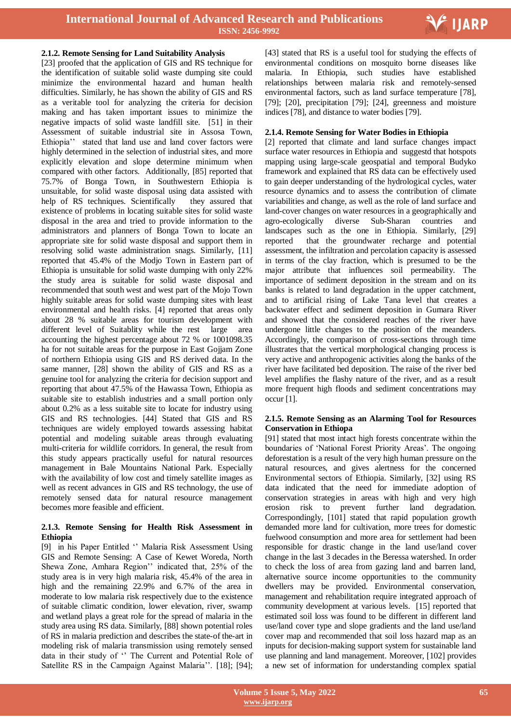

#### **2.1.2. Remote Sensing for Land Suitability Analysis**

[23] proofed that the application of GIS and RS technique for the identification of suitable solid waste dumping site could minimize the environmental hazard and human health difficulties. Similarly, he has shown the ability of GIS and RS as a veritable tool for analyzing the criteria for decision making and has taken important issues to minimize the negative impacts of solid waste landfill site. [51] in their Assessment of suitable industrial site in Assosa Town, Ethiopia" stated that land use and land cover factors were highly determined in the selection of industrial sites, and more explicitly elevation and slope determine minimum when compared with other factors. Additionally, [85] reported that 75.7% of Bonga Town, in Southwestern Ethiopia is unsuitable, for solid waste disposal using data assisted with help of RS techniques. Scientifically they assured that existence of problems in locating suitable sites for solid waste disposal in the area and tried to provide information to the administrators and planners of Bonga Town to locate an appropriate site for solid waste disposal and support them in resolving solid waste administration snags. Similarly, [11] reported that 45.4% of the Modjo Town in Eastern part of Ethiopia is unsuitable for solid waste dumping with only 22% the study area is suitable for solid waste disposal and recommended that south west and west part of the Mojo Town highly suitable areas for solid waste dumping sites with least environmental and health risks. [4] reported that areas only about 28 % suitable areas for tourism development with different level of Suitablity while the rest large area accounting the highest percentage about 72 % or 1001098.35 ha for not suitable areas for the purpose in East Gojjam Zone of northern Ethiopia using GIS and RS derived data. In the same manner, [28] shown the ability of GIS and RS as a genuine tool for analyzing the criteria for decision support and reporting that about 47.5% of the Hawassa Town, Ethiopia as suitable site to establish industries and a small portion only about 0.2% as a less suitable site to locate for industry using GIS and RS technologies. [44] Stated that GIS and RS techniques are widely employed towards assessing habitat potential and modeling suitable areas through evaluating multi-criteria for wildlife corridors. In general, the result from this study appears practically useful for natural resources management in Bale Mountains National Park. Especially with the availability of low cost and timely satellite images as well as recent advances in GIS and RS technology, the use of remotely sensed data for natural resource management becomes more feasible and efficient.

#### **2.1.3. Remote Sensing for Health Risk Assessment in Ethiopia**

[9] in his Paper Entitled " Malaria Risk Assessment Using GIS and Remote Sensing: A Case of Kewet Woreda, North Shewa Zone, Amhara Region" indicated that, 25% of the study area is in very high malaria risk, 45.4% of the area in high and the remaining 22.9% and 6.7% of the area in moderate to low malaria risk respectively due to the existence of suitable climatic condition, lower elevation, river, swamp and wetland plays a great role for the spread of malaria in the study area using RS data. Similarly, [88] shown potential roles of RS in malaria prediction and describes the state-of the-art in modeling risk of malaria transmission using remotely sensed data in their study of " The Current and Potential Role of Satellite RS in the Campaign Against Malaria". [18]; [94];

 [43] stated that RS is a useful tool for studying the effects of environmental conditions on mosquito borne diseases like malaria. In Ethiopia, such studies have established relationships between malaria risk and remotely-sensed environmental factors, such as land surface temperature [78], [79]; [20], precipitation [79]; [24], greenness and moisture indices [78], and distance to water bodies [79].

#### **2.1.4. Remote Sensing for Water Bodies in Ethiopia**

[2] reported that climate and land surface changes impact surface water resources in Ethiopia and suggestd that hotspots mapping using large-scale geospatial and temporal Budyko framework and explained that RS data can be effectively used to gain deeper understanding of the hydrological cycles, water resource dynamics and to assess the contribution of climate variabilities and change, as well as the role of land surface and land-cover changes on water resources in a geographically and agro-ecologically diverse Sub-Sharan countries and landscapes such as the one in Ethiopia. Similarly, [29] reported that the groundwater recharge and potential assessment, the infiltration and percolation capacity is assessed in terms of the clay fraction, which is presumed to be the major attribute that influences soil permeability. The importance of sediment deposition in the stream and on its banks is related to land degradation in the upper catchment, and to artificial rising of Lake Tana level that creates a backwater effect and sediment deposition in Gumara River and showed that the considered reaches of the river have undergone little changes to the position of the meanders. Accordingly, the comparison of cross-sections through time illustrates that the vertical morphological changing process is very active and anthropogenic activities along the banks of the river have facilitated bed deposition. The raise of the river bed level amplifies the flashy nature of the river, and as a result more frequent high floods and sediment concentrations may occur [1].

#### **2.1.5. Remote Sensing as an Alarming Tool for Resources Conservation in Ethiopa**

[91] stated that most intact high forests concentrate within the boundaries of 'National Forest Priority Areas'. The ongoing deforestation is a result of the very high human pressure on the natural resources, and gives alertness for the concerned Environmental sectors of Ethiopia. Similarly, [32] using RS data indicated that the need for immediate adoption of conservation strategies in areas with high and very high erosion risk to prevent further land degradation. Correspondingly, [101] stated that rapid population growth demanded more land for cultivation, more trees for domestic fuelwood consumption and more area for settlement had been responsible for drastic change in the land use/land cover change in the last 3 decades in the Beressa watershed. In order to check the loss of area from gazing land and barren land, alternative source income opportunities to the community dwellers may be provided. Environmental conservation, management and rehabilitation require integrated approach of community development at various levels. [15] reported that estimated soil loss was found to be different in different land use/land cover type and slope gradients and the land use/land cover map and recommended that soil loss hazard map as an inputs for decision-making support system for sustainable land use planning and land management. Moreover, [102] provides a new set of information for understanding complex spatial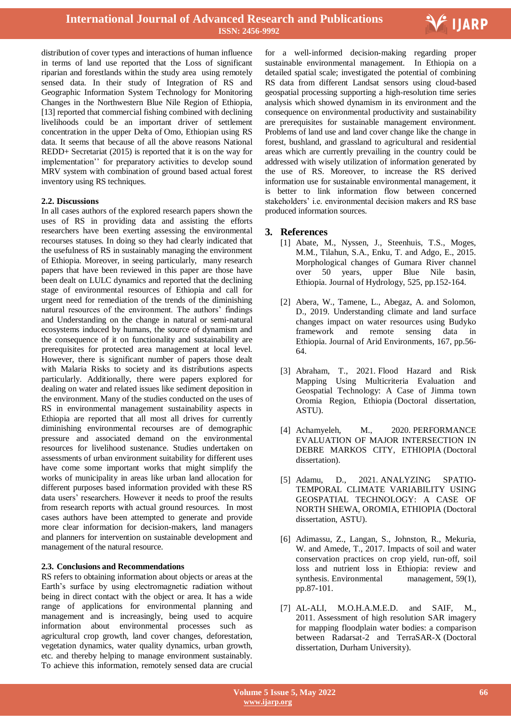

distribution of cover types and interactions of human influence in terms of land use reported that the Loss of significant riparian and forestlands within the study area using remotely sensed data. In their study of Integration of RS and Geographic Information System Technology for Monitoring Changes in the Northwestern Blue Nile Region of Ethiopia, [13] reported that commercial fishing combined with declining livelihoods could be an important driver of settlement concentration in the upper Delta of Omo, Ethiopian using RS data. It seems that because of all the above reasons National REDD+ Secretariat (2015) is reported that it is on the way for implementation" for preparatory activities to develop sound MRV system with combination of ground based actual forest inventory using RS techniques.

#### **2.2. Discussions**

In all cases authors of the explored research papers shown the uses of RS in providing data and assisting the efforts researchers have been exerting assessing the environmental recourses statuses. In doing so they had clearly indicated that the usefulness of RS in sustainably managing the environment of Ethiopia. Moreover, in seeing particularly, many research papers that have been reviewed in this paper are those have been dealt on LULC dynamics and reported that the declining stage of environmental resources of Ethiopia and call for urgent need for remediation of the trends of the diminishing natural resources of the environment. The authors' findings and Understanding on the change in natural or semi-natural ecosystems induced by humans, the source of dynamism and the consequence of it on functionality and sustainability are prerequisites for protected area management at local level. However, there is significant number of papers those dealt with Malaria Risks to society and its distributions aspects particularly. Additionally, there were papers explored for dealing on water and related issues like sediment deposition in the environment. Many of the studies conducted on the uses of RS in environmental management sustainability aspects in Ethiopia are reported that all most all drives for currently diminishing environmental recourses are of demographic pressure and associated demand on the environmental resources for livelihood sustenance. Studies undertaken on assessments of urban environment suitability for different uses have come some important works that might simplify the works of municipality in areas like urban land allocation for different purposes based information provided with these RS data users' researchers. However it needs to proof the results from research reports with actual ground resources. In most cases authors have been attempted to generate and provide more clear information for decision-makers, land managers and planners for intervention on sustainable development and management of the natural resource.

#### **2.3. Conclusions and Recommendations**

RS refers to obtaining information about objects or areas at the Earth"s surface by using electromagnetic radiation without being in direct contact with the object or area. It has a wide range of applications for environmental planning and management and is increasingly, being used to acquire information about environmental processes such as agricultural crop growth, land cover changes, deforestation, vegetation dynamics, water quality dynamics, urban growth, etc. and thereby helping to manage environment sustainably. To achieve this information, remotely sensed data are crucial

 for a well-informed decision-making regarding proper sustainable environmental management. In Ethiopia on a detailed spatial scale; investigated the potential of combining RS data from different Landsat sensors using cloud-based geospatial processing supporting a high-resolution time series analysis which showed dynamism in its environment and the consequence on environmental productivity and sustainability are prerequisites for sustainable management environment. Problems of land use and land cover change like the change in forest, bushland, and grassland to agricultural and residential areas which are currently prevailing in the country could be addressed with wisely utilization of information generated by the use of RS. Moreover, to increase the RS derived information use for sustainable environmental management, it is better to link information flow between concerned stakeholders" i.e. environmental decision makers and RS base produced information sources.

#### **3. References**

- [1] Abate, M., Nyssen, J., Steenhuis, T.S., Moges, M.M., Tilahun, S.A., Enku, T. and Adgo, E., 2015. Morphological changes of Gumara River channel over 50 years, upper Blue Nile basin, Ethiopia. Journal of Hydrology, 525, pp.152-164.
- [2] Abera, W., Tamene, L., Abegaz, A. and Solomon, D., 2019. Understanding climate and land surface changes impact on water resources using Budyko framework and remote sensing data in Ethiopia. Journal of Arid Environments, 167, pp.56- 64.
- [3] Abraham, T., 2021. Flood Hazard and Risk Mapping Using Multicriteria Evaluation and Geospatial Technology: A Case of Jimma town Oromia Region, Ethiopia (Doctoral dissertation, ASTU).
- [4] Achamyeleh, M., 2020. PERFORMANCE EVALUATION OF MAJOR INTERSECTION IN DEBRE MARKOS CITY, ETHIOPIA (Doctoral dissertation).
- [5] Adamu, D., 2021. ANALYZING SPATIO-TEMPORAL CLIMATE VARIABILITY USING GEOSPATIAL TECHNOLOGY: A CASE OF NORTH SHEWA, OROMIA, ETHIOPIA (Doctoral dissertation, ASTU).
- [6] Adimassu, Z., Langan, S., Johnston, R., Mekuria, W. and Amede, T., 2017. Impacts of soil and water conservation practices on crop yield, run-off, soil loss and nutrient loss in Ethiopia: review and synthesis. Environmental management, 59(1), pp.87-101.
- [7] AL-ALI, M.O.H.A.M.E.D. and SAIF, M., 2011. Assessment of high resolution SAR imagery for mapping floodplain water bodies: a comparison between Radarsat-2 and TerraSAR-X (Doctoral dissertation, Durham University).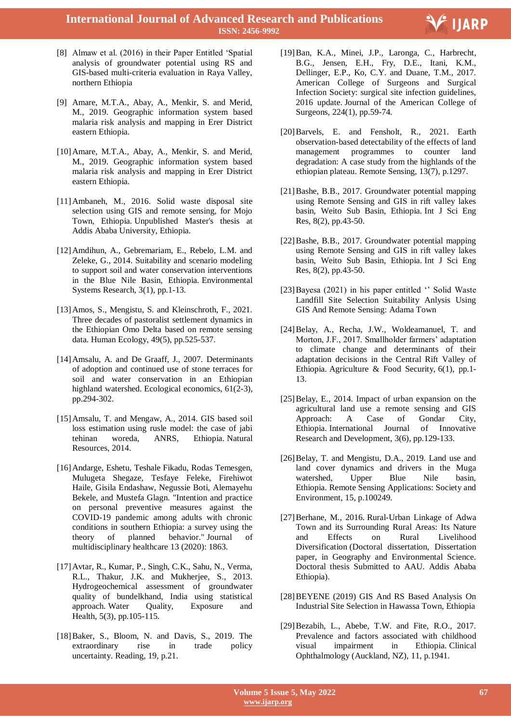

- [8] Almaw et al. (2016) in their Paper Entitled "Spatial analysis of groundwater potential using RS and GIS-based multi-criteria evaluation in Raya Valley, northern Ethiopia
- [9] Amare, M.T.A., Abay, A., Menkir, S. and Merid, M., 2019. Geographic information system based malaria risk analysis and mapping in Erer District eastern Ethiopia.
- [10]Amare, M.T.A., Abay, A., Menkir, S. and Merid, M., 2019. Geographic information system based malaria risk analysis and mapping in Erer District eastern Ethiopia.
- [11]Ambaneh, M., 2016. Solid waste disposal site selection using GIS and remote sensing, for Mojo Town, Ethiopia. Unpublished Master's thesis at Addis Ababa University, Ethiopia.
- [12]Amdihun, A., Gebremariam, E., Rebelo, L.M. and Zeleke, G., 2014. Suitability and scenario modeling to support soil and water conservation interventions in the Blue Nile Basin, Ethiopia. Environmental Systems Research, 3(1), pp.1-13.
- [13]Amos, S., Mengistu, S. and Kleinschroth, F., 2021. Three decades of pastoralist settlement dynamics in the Ethiopian Omo Delta based on remote sensing data. Human Ecology, 49(5), pp.525-537.
- [14]Amsalu, A. and De Graaff, J., 2007. Determinants of adoption and continued use of stone terraces for soil and water conservation in an Ethiopian highland watershed. Ecological economics, 61(2-3), pp.294-302.
- [15]Amsalu, T. and Mengaw, A., 2014. GIS based soil loss estimation using rusle model: the case of jabi tehinan woreda, ANRS, Ethiopia. Natural Resources, 2014.
- [16]Andarge, Eshetu, Teshale Fikadu, Rodas Temesgen, Mulugeta Shegaze, Tesfaye Feleke, Firehiwot Haile, Gisila Endashaw, Negussie Boti, Alemayehu Bekele, and Mustefa Glagn. "Intention and practice on personal preventive measures against the COVID-19 pandemic among adults with chronic conditions in southern Ethiopia: a survey using the theory of planned behavior." Journal of multidisciplinary healthcare 13 (2020): 1863.
- [17]Avtar, R., Kumar, P., Singh, C.K., Sahu, N., Verma, R.L., Thakur, J.K. and Mukherjee, S., 2013. Hydrogeochemical assessment of groundwater quality of bundelkhand, India using statistical approach. Water Quality, Exposure and Health, 5(3), pp.105-115.
- [18]Baker, S., Bloom, N. and Davis, S., 2019. The extraordinary rise in trade policy uncertainty. Reading, 19, p.21.
- [19]Ban, K.A., Minei, J.P., Laronga, C., Harbrecht, B.G., Jensen, E.H., Fry, D.E., Itani, K.M., Dellinger, E.P., Ko, C.Y. and Duane, T.M., 2017. American College of Surgeons and Surgical Infection Society: surgical site infection guidelines, 2016 update. Journal of the American College of Surgeons, 224(1), pp.59-74.
- [20]Barvels, E. and Fensholt, R., 2021. Earth observation-based detectability of the effects of land management programmes to counter land degradation: A case study from the highlands of the ethiopian plateau. Remote Sensing, 13(7), p.1297.
- [21]Bashe, B.B., 2017. Groundwater potential mapping using Remote Sensing and GIS in rift valley lakes basin, Weito Sub Basin, Ethiopia. Int J Sci Eng Res, 8(2), pp.43-50.
- [22] Bashe, B.B., 2017. Groundwater potential mapping using Remote Sensing and GIS in rift valley lakes basin, Weito Sub Basin, Ethiopia. Int J Sci Eng Res, 8(2), pp.43-50.
- [23] Bayesa (2021) in his paper entitled " Solid Waste Landfill Site Selection Suitability Anlysis Using GIS And Remote Sensing: Adama Town
- [24]Belay, A., Recha, J.W., Woldeamanuel, T. and Morton, J.F., 2017. Smallholder farmers' adaptation to climate change and determinants of their adaptation decisions in the Central Rift Valley of Ethiopia. Agriculture & Food Security, 6(1), pp.1- 13.
- [25]Belay, E., 2014. Impact of urban expansion on the agricultural land use a remote sensing and GIS Approach: A Case of Gondar City, Ethiopia. International Journal of Innovative Research and Development, 3(6), pp.129-133.
- [26] Belay, T. and Mengistu, D.A., 2019. Land use and land cover dynamics and drivers in the Muga watershed, Upper Blue Nile basin, Ethiopia. Remote Sensing Applications: Society and Environment, 15, p.100249.
- [27]Berhane, M., 2016. Rural-Urban Linkage of Adwa Town and its Surrounding Rural Areas: Its Nature and Effects on Rural Livelihood Diversification (Doctoral dissertation, Dissertation paper, in Geography and Environmental Science. Doctoral thesis Submitted to AAU. Addis Ababa Ethiopia).
- [28]BEYENE (2019) GIS And RS Based Analysis On Industrial Site Selection in Hawassa Town, Ethiopia
- [29]Bezabih, L., Abebe, T.W. and Fite, R.O., 2017. Prevalence and factors associated with childhood visual impairment in Ethiopia. Clinical Ophthalmology (Auckland, NZ), 11, p.1941.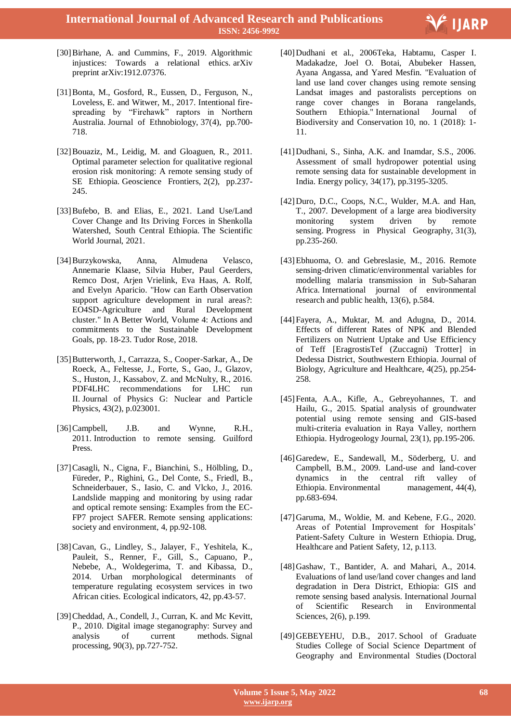

- [30]Birhane, A. and Cummins, F., 2019. Algorithmic injustices: Towards a relational ethics. arXiv preprint arXiv:1912.07376.
- [31]Bonta, M., Gosford, R., Eussen, D., Ferguson, N., Loveless, E. and Witwer, M., 2017. Intentional firespreading by "Firehawk" raptors in Northern Australia. Journal of Ethnobiology, 37(4), pp.700- 718.
- [32]Bouaziz, M., Leidig, M. and Gloaguen, R., 2011. Optimal parameter selection for qualitative regional erosion risk monitoring: A remote sensing study of SE Ethiopia. Geoscience Frontiers, 2(2), pp.237- 245.
- [33]Bufebo, B. and Elias, E., 2021. Land Use/Land Cover Change and Its Driving Forces in Shenkolla Watershed, South Central Ethiopia. The Scientific World Journal, 2021.
- [34]Burzykowska, Anna, Almudena Velasco, Annemarie Klaase, Silvia Huber, Paul Geerders, Remco Dost, Arjen Vrielink, Eva Haas, A. Rolf, and Evelyn Aparicio. "How can Earth Observation support agriculture development in rural areas?: EO4SD-Agriculture and Rural Development cluster." In A Better World, Volume 4: Actions and commitments to the Sustainable Development Goals, pp. 18-23. Tudor Rose, 2018.
- [35]Butterworth, J., Carrazza, S., Cooper-Sarkar, A., De Roeck, A., Feltesse, J., Forte, S., Gao, J., Glazov, S., Huston, J., Kassabov, Z. and McNulty, R., 2016. PDF4LHC recommendations for LHC run II. Journal of Physics G: Nuclear and Particle Physics, 43(2), p.023001.
- [36]Campbell, J.B. and Wynne, R.H., 2011. Introduction to remote sensing. Guilford Press.
- [37]Casagli, N., Cigna, F., Bianchini, S., Hölbling, D., Füreder, P., Righini, G., Del Conte, S., Friedl, B., Schneiderbauer, S., Iasio, C. and Vlcko, J., 2016. Landslide mapping and monitoring by using radar and optical remote sensing: Examples from the EC-FP7 project SAFER. Remote sensing applications: society and environment, 4, pp.92-108.
- [38]Cavan, G., Lindley, S., Jalayer, F., Yeshitela, K., Pauleit, S., Renner, F., Gill, S., Capuano, P., Nebebe, A., Woldegerima, T. and Kibassa, D., 2014. Urban morphological determinants of temperature regulating ecosystem services in two African cities. Ecological indicators, 42, pp.43-57.
- [39] Cheddad, A., Condell, J., Curran, K. and Mc Kevitt, P., 2010. Digital image steganography: Survey and analysis of current methods. Signal processing, 90(3), pp.727-752.
- [40]Dudhani et al., 2006Teka, Habtamu, Casper I. Madakadze, Joel O. Botai, Abubeker Hassen, Ayana Angassa, and Yared Mesfin. "Evaluation of land use land cover changes using remote sensing Landsat images and pastoralists perceptions on range cover changes in Borana rangelands, Southern Ethiopia." International Journal of Biodiversity and Conservation 10, no. 1 (2018): 1- 11.
- [41]Dudhani, S., Sinha, A.K. and Inamdar, S.S., 2006. Assessment of small hydropower potential using remote sensing data for sustainable development in India. Energy policy, 34(17), pp.3195-3205.
- [42]Duro, D.C., Coops, N.C., Wulder, M.A. and Han, T., 2007. Development of a large area biodiversity monitoring system driven by remote sensing. Progress in Physical Geography, 31(3), pp.235-260.
- [43]Ebhuoma, O. and Gebreslasie, M., 2016. Remote sensing-driven climatic/environmental variables for modelling malaria transmission in Sub-Saharan Africa. International journal of environmental research and public health, 13(6), p.584.
- [44]Fayera, A., Muktar, M. and Adugna, D., 2014. Effects of different Rates of NPK and Blended Fertilizers on Nutrient Uptake and Use Efficiency of Teff [EragrostisTef (Zuccagni) Trotter] in Dedessa District, Southwestern Ethiopia. Journal of Biology, Agriculture and Healthcare, 4(25), pp.254- 258.
- [45]Fenta, A.A., Kifle, A., Gebreyohannes, T. and Hailu, G., 2015. Spatial analysis of groundwater potential using remote sensing and GIS-based multi-criteria evaluation in Raya Valley, northern Ethiopia. Hydrogeology Journal, 23(1), pp.195-206.
- [46]Garedew, E., Sandewall, M., Söderberg, U. and Campbell, B.M., 2009. Land-use and land-cover dynamics in the central rift valley of Ethiopia. Environmental management, 44(4), pp.683-694.
- [47]Garuma, M., Woldie, M. and Kebene, F.G., 2020. Areas of Potential Improvement for Hospitals' Patient-Safety Culture in Western Ethiopia. Drug, Healthcare and Patient Safety, 12, p.113.
- [48]Gashaw, T., Bantider, A. and Mahari, A., 2014. Evaluations of land use/land cover changes and land degradation in Dera District, Ethiopia: GIS and remote sensing based analysis. International Journal of Scientific Research in Environmental Sciences, 2(6), p.199.
- [49]GEBEYEHU, D.B., 2017. School of Graduate Studies College of Social Science Department of Geography and Environmental Studies (Doctoral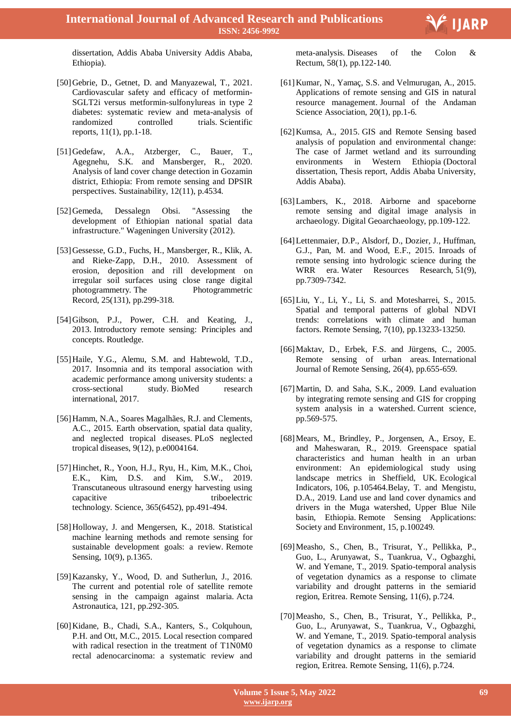

dissertation, Addis Ababa University Addis Ababa, Ethiopia).

- [50]Gebrie, D., Getnet, D. and Manyazewal, T., 2021. Cardiovascular safety and efficacy of metformin-SGLT2i versus metformin-sulfonylureas in type 2 diabetes: systematic review and meta-analysis of randomized controlled trials. Scientific reports, 11(1), pp.1-18.
- [51]Gedefaw, A.A., Atzberger, C., Bauer, T., Agegnehu, S.K. and Mansberger, R., 2020. Analysis of land cover change detection in Gozamin district, Ethiopia: From remote sensing and DPSIR perspectives. Sustainability, 12(11), p.4534.
- [52]Gemeda, Dessalegn Obsi. "Assessing the development of Ethiopian national spatial data infrastructure." Wageningen University (2012).
- [53] Gessesse, G.D., Fuchs, H., Mansberger, R., Klik, A. and Rieke‐Zapp, D.H., 2010. Assessment of erosion, deposition and rill development on irregular soil surfaces using close range digital photogrammetry. The Photogrammetric Record, 25(131), pp.299-318.
- [54]Gibson, P.J., Power, C.H. and Keating, J., 2013. Introductory remote sensing: Principles and concepts. Routledge.
- [55]Haile, Y.G., Alemu, S.M. and Habtewold, T.D., 2017. Insomnia and its temporal association with academic performance among university students: a cross-sectional study. BioMed research international, 2017.
- [56]Hamm, N.A., Soares Magalhães, R.J. and Clements, A.C., 2015. Earth observation, spatial data quality, and neglected tropical diseases. PLoS neglected tropical diseases, 9(12), p.e0004164.
- [57]Hinchet, R., Yoon, H.J., Ryu, H., Kim, M.K., Choi, E.K., Kim, D.S. and Kim, S.W., 2019. Transcutaneous ultrasound energy harvesting using capacitive triboelectric technology. Science, 365(6452), pp.491-494.
- [58]Holloway, J. and Mengersen, K., 2018. Statistical machine learning methods and remote sensing for sustainable development goals: a review. Remote Sensing, 10(9), p.1365.
- [59]Kazansky, Y., Wood, D. and Sutherlun, J., 2016. The current and potential role of satellite remote sensing in the campaign against malaria. Acta Astronautica, 121, pp.292-305.
- [60]Kidane, B., Chadi, S.A., Kanters, S., Colquhoun, P.H. and Ott, M.C., 2015. Local resection compared with radical resection in the treatment of T1N0M0 rectal adenocarcinoma: a systematic review and

meta-analysis. Diseases of the Colon & Rectum, 58(1), pp.122-140.

- [61] Kumar, N., Yamaç, S.S. and Velmurugan, A., 2015. Applications of remote sensing and GIS in natural resource management. Journal of the Andaman Science Association, 20(1), pp.1-6.
- [62]Kumsa, A., 2015. GIS and Remote Sensing based analysis of population and environmental change: The case of Jarmet wetland and its surrounding environments in Western Ethiopia (Doctoral dissertation, Thesis report, Addis Ababa University, Addis Ababa).
- [63]Lambers, K., 2018. Airborne and spaceborne remote sensing and digital image analysis in archaeology. Digital Geoarchaeology, pp.109-122.
- [64]Lettenmaier, D.P., Alsdorf, D., Dozier, J., Huffman, G.J., Pan, M. and Wood, E.F., 2015. Inroads of remote sensing into hydrologic science during the WRR era. Water Resources Research, 51(9), pp.7309-7342.
- [65]Liu, Y., Li, Y., Li, S. and Motesharrei, S., 2015. Spatial and temporal patterns of global NDVI trends: correlations with climate and human factors. Remote Sensing, 7(10), pp.13233-13250.
- [66]Maktav, D., Erbek, F.S. and Jürgens, C., 2005. Remote sensing of urban areas. International Journal of Remote Sensing, 26(4), pp.655-659.
- [67]Martin, D. and Saha, S.K., 2009. Land evaluation by integrating remote sensing and GIS for cropping system analysis in a watershed. Current science, pp.569-575.
- [68]Mears, M., Brindley, P., Jorgensen, A., Ersoy, E. and Maheswaran, R., 2019. Greenspace spatial characteristics and human health in an urban environment: An epidemiological study using landscape metrics in Sheffield, UK. Ecological Indicators, 106, p.105464.Belay, T. and Mengistu, D.A., 2019. Land use and land cover dynamics and drivers in the Muga watershed, Upper Blue Nile basin, Ethiopia. Remote Sensing Applications: Society and Environment, 15, p.100249.
- [69]Measho, S., Chen, B., Trisurat, Y., Pellikka, P., Guo, L., Arunyawat, S., Tuankrua, V., Ogbazghi, W. and Yemane, T., 2019. Spatio-temporal analysis of vegetation dynamics as a response to climate variability and drought patterns in the semiarid region, Eritrea. Remote Sensing, 11(6), p.724.
- [70]Measho, S., Chen, B., Trisurat, Y., Pellikka, P., Guo, L., Arunyawat, S., Tuankrua, V., Ogbazghi, W. and Yemane, T., 2019. Spatio-temporal analysis of vegetation dynamics as a response to climate variability and drought patterns in the semiarid region, Eritrea. Remote Sensing, 11(6), p.724.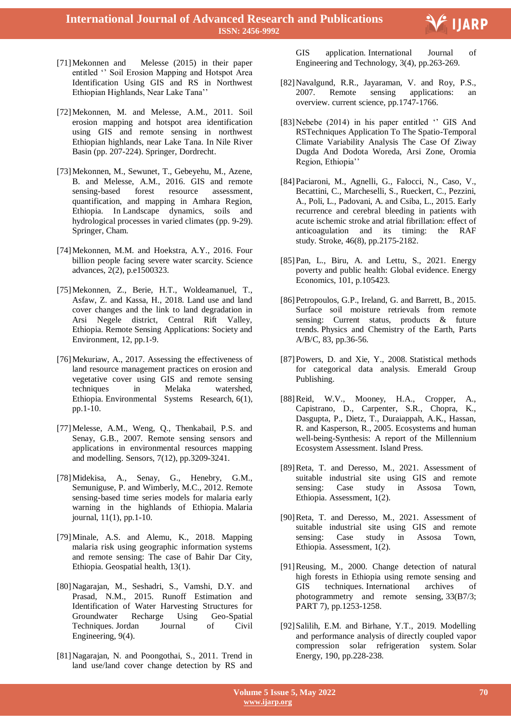

- [71]Mekonnen and Melesse (2015) in their paper entitled " Soil Erosion Mapping and Hotspot Area Identification Using GIS and RS in Northwest Ethiopian Highlands, Near Lake Tana"
- [72]Mekonnen, M. and Melesse, A.M., 2011. Soil erosion mapping and hotspot area identification using GIS and remote sensing in northwest Ethiopian highlands, near Lake Tana. In Nile River Basin (pp. 207-224). Springer, Dordrecht.
- [73]Mekonnen, M., Sewunet, T., Gebeyehu, M., Azene, B. and Melesse, A.M., 2016. GIS and remote sensing-based forest resource assessment, quantification, and mapping in Amhara Region, Ethiopia. In Landscape dynamics, soils and hydrological processes in varied climates (pp. 9-29). Springer, Cham.
- [74]Mekonnen, M.M. and Hoekstra, A.Y., 2016. Four billion people facing severe water scarcity. Science advances, 2(2), p.e1500323.
- [75]Mekonnen, Z., Berie, H.T., Woldeamanuel, T., Asfaw, Z. and Kassa, H., 2018. Land use and land cover changes and the link to land degradation in Arsi Negele district, Central Rift Valley, Ethiopia. Remote Sensing Applications: Society and Environment, 12, pp.1-9.
- [76] Mekuriaw, A., 2017. Assessing the effectiveness of land resource management practices on erosion and vegetative cover using GIS and remote sensing techniques in Melaka watershed, Ethiopia. Environmental Systems Research, 6(1), pp.1-10.
- [77]Melesse, A.M., Weng, Q., Thenkabail, P.S. and Senay, G.B., 2007. Remote sensing sensors and applications in environmental resources mapping and modelling. Sensors, 7(12), pp.3209-3241.
- [78]Midekisa, A., Senay, G., Henebry, G.M., Semuniguse, P. and Wimberly, M.C., 2012. Remote sensing-based time series models for malaria early warning in the highlands of Ethiopia. Malaria journal, 11(1), pp.1-10.
- [79]Minale, A.S. and Alemu, K., 2018. Mapping malaria risk using geographic information systems and remote sensing: The case of Bahir Dar City, Ethiopia. Geospatial health, 13(1).
- [80]Nagarajan, M., Seshadri, S., Vamshi, D.Y. and Prasad, N.M., 2015. Runoff Estimation and Identification of Water Harvesting Structures for Groundwater Recharge Using Geo-Spatial Techniques. Jordan Journal of Civil Engineering, 9(4).
- [81]Nagarajan, N. and Poongothai, S., 2011. Trend in land use/land cover change detection by RS and

GIS application. International Journal of Engineering and Technology, 3(4), pp.263-269.

- [82]Navalgund, R.R., Jayaraman, V. and Roy, P.S., 2007. Remote sensing applications: an overview. current science, pp.1747-1766.
- [83] Nebebe (2014) in his paper entitled " GIS And RSTechniques Application To The Spatio-Temporal Climate Variability Analysis The Case Of Ziway Dugda And Dodota Woreda, Arsi Zone, Oromia Region, Ethiopia"
- [84]Paciaroni, M., Agnelli, G., Falocci, N., Caso, V., Becattini, C., Marcheselli, S., Rueckert, C., Pezzini, A., Poli, L., Padovani, A. and Csiba, L., 2015. Early recurrence and cerebral bleeding in patients with acute ischemic stroke and atrial fibrillation: effect of anticoagulation and its timing: the RAF study. Stroke, 46(8), pp.2175-2182.
- [85]Pan, L., Biru, A. and Lettu, S., 2021. Energy poverty and public health: Global evidence. Energy Economics, 101, p.105423.
- [86] Petropoulos, G.P., Ireland, G. and Barrett, B., 2015. Surface soil moisture retrievals from remote sensing: Current status, products & future trends. Physics and Chemistry of the Earth, Parts A/B/C, 83, pp.36-56.
- [87] Powers, D. and Xie, Y., 2008. Statistical methods for categorical data analysis. Emerald Group Publishing.
- [88]Reid, W.V., Mooney, H.A., Cropper, A., Capistrano, D., Carpenter, S.R., Chopra, K., Dasgupta, P., Dietz, T., Duraiappah, A.K., Hassan, R. and Kasperson, R., 2005. Ecosystems and human well-being-Synthesis: A report of the Millennium Ecosystem Assessment. Island Press.
- [89]Reta, T. and Deresso, M., 2021. Assessment of suitable industrial site using GIS and remote sensing: Case study in Assosa Town, Ethiopia. Assessment, 1(2).
- [90]Reta, T. and Deresso, M., 2021. Assessment of suitable industrial site using GIS and remote sensing: Case study in Assosa Town, Ethiopia. Assessment, 1(2).
- [91]Reusing, M., 2000. Change detection of natural high forests in Ethiopia using remote sensing and GIS techniques. International archives of photogrammetry and remote sensing, 33(B7/3; PART 7), pp.1253-1258.
- [92] Salilih, E.M. and Birhane, Y.T., 2019. Modelling and performance analysis of directly coupled vapor compression solar refrigeration system. Solar Energy, 190, pp.228-238.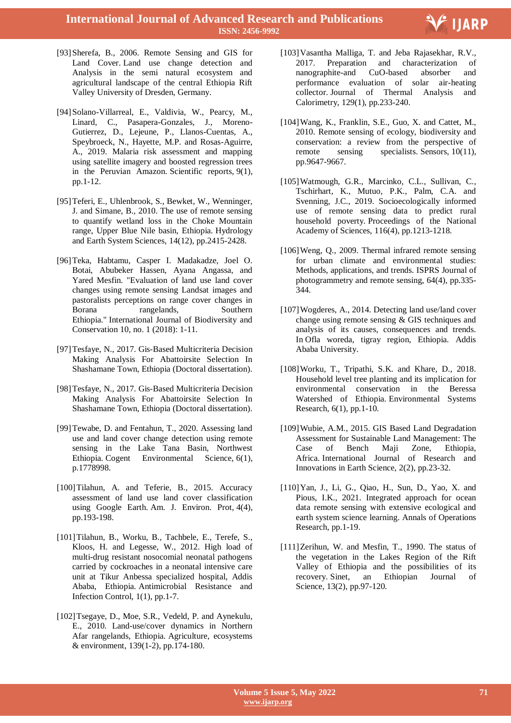**International Journal of Advanced Research and Publications ISSN: 2456-9992**



- [93]Sherefa, B., 2006. Remote Sensing and GIS for Land Cover. Land use change detection and Analysis in the semi natural ecosystem and agricultural landscape of the central Ethiopia Rift Valley University of Dresden, Germany.
- [94]Solano-Villarreal, E., Valdivia, W., Pearcy, M., Linard, C., Pasapera-Gonzales, J., Moreno-Gutierrez, D., Lejeune, P., Llanos-Cuentas, A., Speybroeck, N., Hayette, M.P. and Rosas-Aguirre, A., 2019. Malaria risk assessment and mapping using satellite imagery and boosted regression trees in the Peruvian Amazon. Scientific reports, 9(1), pp.1-12.
- [95]Teferi, E., Uhlenbrook, S., Bewket, W., Wenninger, J. and Simane, B., 2010. The use of remote sensing to quantify wetland loss in the Choke Mountain range, Upper Blue Nile basin, Ethiopia. Hydrology and Earth System Sciences, 14(12), pp.2415-2428.
- [96]Teka, Habtamu, Casper I. Madakadze, Joel O. Botai, Abubeker Hassen, Ayana Angassa, and Yared Mesfin. "Evaluation of land use land cover changes using remote sensing Landsat images and pastoralists perceptions on range cover changes in Borana rangelands, Southern Ethiopia." International Journal of Biodiversity and Conservation 10, no. 1 (2018): 1-11.
- [97]Tesfaye, N., 2017. Gis-Based Multicriteria Decision Making Analysis For Abattoirsite Selection In Shashamane Town, Ethiopia (Doctoral dissertation).
- [98]Tesfaye, N., 2017. Gis-Based Multicriteria Decision Making Analysis For Abattoirsite Selection In Shashamane Town, Ethiopia (Doctoral dissertation).
- [99]Tewabe, D. and Fentahun, T., 2020. Assessing land use and land cover change detection using remote sensing in the Lake Tana Basin, Northwest Ethiopia. Cogent Environmental Science, 6(1), p.1778998.
- [100] Tilahun, A. and Teferie, B., 2015. Accuracy assessment of land use land cover classification using Google Earth. Am. J. Environ. Prot, 4(4), pp.193-198.
- [101]Tilahun, B., Worku, B., Tachbele, E., Terefe, S., Kloos, H. and Legesse, W., 2012. High load of multi-drug resistant nosocomial neonatal pathogens carried by cockroaches in a neonatal intensive care unit at Tikur Anbessa specialized hospital, Addis Ababa, Ethiopia. Antimicrobial Resistance and Infection Control, 1(1), pp.1-7.
- [102] Tsegaye, D., Moe, S.R., Vedeld, P. and Aynekulu, E., 2010. Land-use/cover dynamics in Northern Afar rangelands, Ethiopia. Agriculture, ecosystems & environment, 139(1-2), pp.174-180.
- [103]Vasantha Malliga, T. and Jeba Rajasekhar, R.V., 2017. Preparation and characterization of nanographite-and CuO-based absorber and performance evaluation of solar air-heating collector. Journal of Thermal Analysis and Calorimetry, 129(1), pp.233-240.
- [104]Wang, K., Franklin, S.E., Guo, X. and Cattet, M., 2010. Remote sensing of ecology, biodiversity and conservation: a review from the perspective of remote sensing specialists. Sensors, 10(11), pp.9647-9667.
- [105]Watmough, G.R., Marcinko, C.L., Sullivan, C., Tschirhart, K., Mutuo, P.K., Palm, C.A. and Svenning, J.C., 2019. Socioecologically informed use of remote sensing data to predict rural household poverty. Proceedings of the National Academy of Sciences, 116(4), pp.1213-1218.
- [106]Weng, Q., 2009. Thermal infrared remote sensing for urban climate and environmental studies: Methods, applications, and trends. ISPRS Journal of photogrammetry and remote sensing, 64(4), pp.335- 344.
- [107]Wogderes, A., 2014. Detecting land use/land cover change using remote sensing & GIS techniques and analysis of its causes, consequences and trends. In Ofla woreda, tigray region, Ethiopia. Addis Ababa University.
- [108]Worku, T., Tripathi, S.K. and Khare, D., 2018. Household level tree planting and its implication for environmental conservation in the Beressa Watershed of Ethiopia. Environmental Systems Research, 6(1), pp.1-10.
- [109]Wubie, A.M., 2015. GIS Based Land Degradation Assessment for Sustainable Land Management: The Case of Bench Maji Zone, Ethiopia, Africa. International Journal of Research and Innovations in Earth Science, 2(2), pp.23-32.
- [110]Yan, J., Li, G., Qiao, H., Sun, D., Yao, X. and Pious, I.K., 2021. Integrated approach for ocean data remote sensing with extensive ecological and earth system science learning. Annals of Operations Research, pp.1-19.
- [111]Zerihun, W. and Mesfin, T., 1990. The status of the vegetation in the Lakes Region of the Rift Valley of Ethiopia and the possibilities of its recovery. Sinet, an Ethiopian Journal of Science, 13(2), pp.97-120.